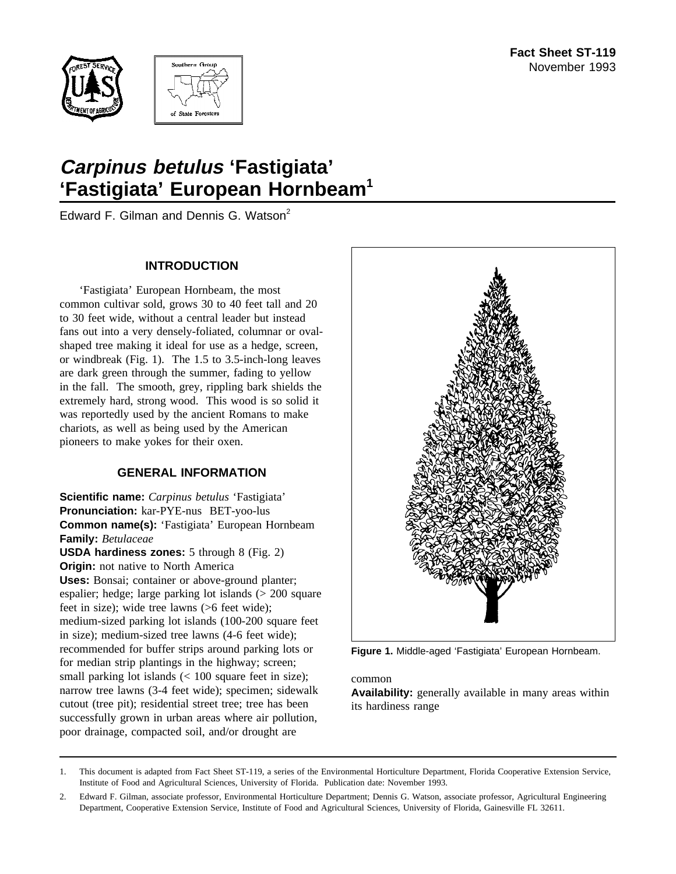



# **Carpinus betulus 'Fastigiata' 'Fastigiata' European Hornbeam1**

Edward F. Gilman and Dennis G. Watson<sup>2</sup>

## **INTRODUCTION**

'Fastigiata' European Hornbeam, the most common cultivar sold, grows 30 to 40 feet tall and 20 to 30 feet wide, without a central leader but instead fans out into a very densely-foliated, columnar or ovalshaped tree making it ideal for use as a hedge, screen, or windbreak (Fig. 1). The 1.5 to 3.5-inch-long leaves are dark green through the summer, fading to yellow in the fall. The smooth, grey, rippling bark shields the extremely hard, strong wood. This wood is so solid it was reportedly used by the ancient Romans to make chariots, as well as being used by the American pioneers to make yokes for their oxen.

## **GENERAL INFORMATION**

**Scientific name:** *Carpinus betulus* 'Fastigiata' **Pronunciation:** kar-PYE-nus BET-yoo-lus **Common name(s):** 'Fastigiata' European Hornbeam **Family:** *Betulaceae* **USDA hardiness zones:** 5 through 8 (Fig. 2) **Origin:** not native to North America **Uses:** Bonsai; container or above-ground planter; espalier; hedge; large parking lot islands (> 200 square feet in size); wide tree lawns (>6 feet wide); medium-sized parking lot islands (100-200 square feet in size); medium-sized tree lawns (4-6 feet wide); recommended for buffer strips around parking lots or for median strip plantings in the highway; screen; small parking lot islands (< 100 square feet in size); narrow tree lawns (3-4 feet wide); specimen; sidewalk cutout (tree pit); residential street tree; tree has been successfully grown in urban areas where air pollution, poor drainage, compacted soil, and/or drought are



**Figure 1.** Middle-aged 'Fastigiata' European Hornbeam.

#### common

**Availability:** generally available in many areas within its hardiness range

<sup>1.</sup> This document is adapted from Fact Sheet ST-119, a series of the Environmental Horticulture Department, Florida Cooperative Extension Service, Institute of Food and Agricultural Sciences, University of Florida. Publication date: November 1993.

<sup>2.</sup> Edward F. Gilman, associate professor, Environmental Horticulture Department; Dennis G. Watson, associate professor, Agricultural Engineering Department, Cooperative Extension Service, Institute of Food and Agricultural Sciences, University of Florida, Gainesville FL 32611.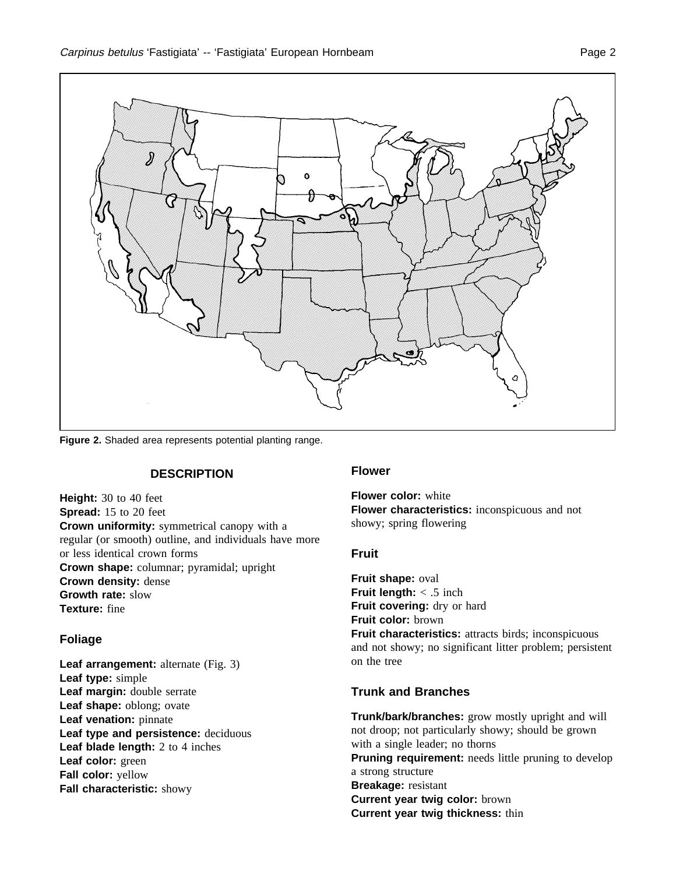

**Figure 2.** Shaded area represents potential planting range.

## **DESCRIPTION**

**Height:** 30 to 40 feet **Spread:** 15 to 20 feet **Crown uniformity:** symmetrical canopy with a regular (or smooth) outline, and individuals have more or less identical crown forms **Crown shape:** columnar; pyramidal; upright **Crown density:** dense **Growth rate:** slow **Texture:** fine

### **Foliage**

**Leaf arrangement:** alternate (Fig. 3) **Leaf type:** simple **Leaf margin:** double serrate **Leaf shape:** oblong; ovate **Leaf venation:** pinnate **Leaf type and persistence:** deciduous **Leaf blade length:** 2 to 4 inches **Leaf color:** green **Fall color:** yellow **Fall characteristic:** showy

#### **Flower**

**Flower color:** white **Flower characteristics:** inconspicuous and not showy; spring flowering

#### **Fruit**

**Fruit shape:** oval **Fruit length:** < .5 inch Fruit covering: dry or hard **Fruit color:** brown **Fruit characteristics:** attracts birds; inconspicuous and not showy; no significant litter problem; persistent on the tree

## **Trunk and Branches**

**Trunk/bark/branches:** grow mostly upright and will not droop; not particularly showy; should be grown with a single leader; no thorns **Pruning requirement:** needs little pruning to develop a strong structure **Breakage:** resistant **Current year twig color:** brown **Current year twig thickness:** thin